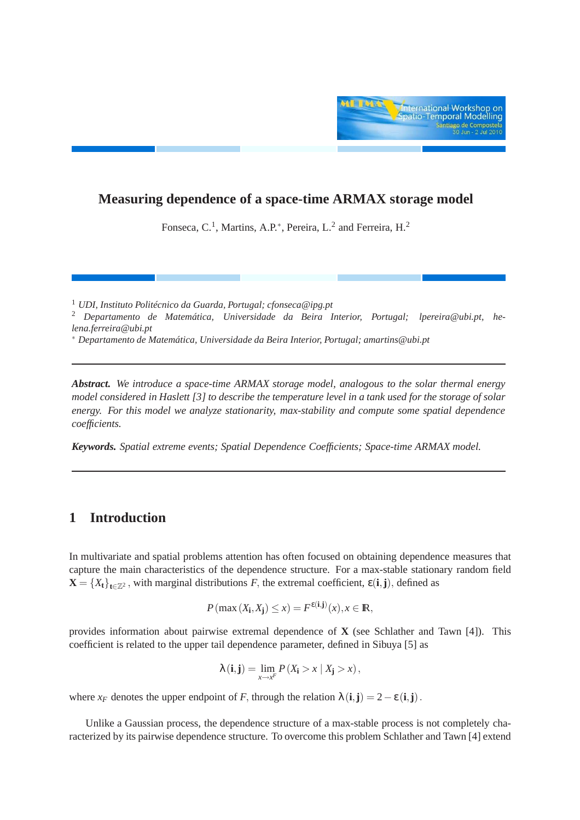

## **Measuring dependence of a space-time ARMAX storage model**

Fonseca, C.<sup>1</sup>, Martins, A.P.<sup>\*</sup>, Pereira, L.<sup>2</sup> and Ferreira, H.<sup>2</sup>

<sup>1</sup> *UDI, Instituto Politécnico da Guarda, Portugal; cfonseca@ipg.pt*

<sup>2</sup> *Departamento de Matemática, Universidade da Beira Interior, Portugal; lpereira@ubi.pt, helena.ferreira@ubi.pt*

<sup>∗</sup> *Departamento de Matemática, Universidade da Beira Interior, Portugal; amartins@ubi.pt*

*Abstract. We introduce a space-time ARMAX storage model, analogous to the solar thermal energy model considered in Haslett [3] to describe the temperature level in a tank used for the storage of solar energy. For this model we analyze stationarity, max-stability and compute some spatial dependence coefficients.*

*Keywords. Spatial extreme events; Spatial Dependence Coefficients; Space-time ARMAX model.*

## **1 Introduction**

In multivariate and spatial problems attention has often focused on obtaining dependence measures that capture the main characteristics of the dependence structure. For a max-stable stationary random field  $X = \{X_t\}_{t \in \mathbb{Z}^2}$ , with marginal distributions *F*, the extremal coefficient,  $\varepsilon(i, j)$ , defined as

$$
P(\max(X_{\mathbf{i}}, X_{\mathbf{j}}) \le x) = F^{\varepsilon(\mathbf{i}, \mathbf{j})}(x), x \in \mathbb{R},
$$

provides information about pairwise extremal dependence of **X** (see Schlather and Tawn [4]). This coefficient is related to the upper tail dependence parameter, defined in Sibuya [5] as

$$
\lambda(i,j) = \lim_{x \to x^F} P(X_i > x \mid X_j > x),
$$

where  $x_F$  denotes the upper endpoint of *F*, through the relation  $\lambda(i, j) = 2 - \varepsilon(i, j)$ .

Unlike a Gaussian process, the dependence structure of a max-stable process is not completely characterized by its pairwise dependence structure. To overcome this problem Schlather and Tawn [4] extend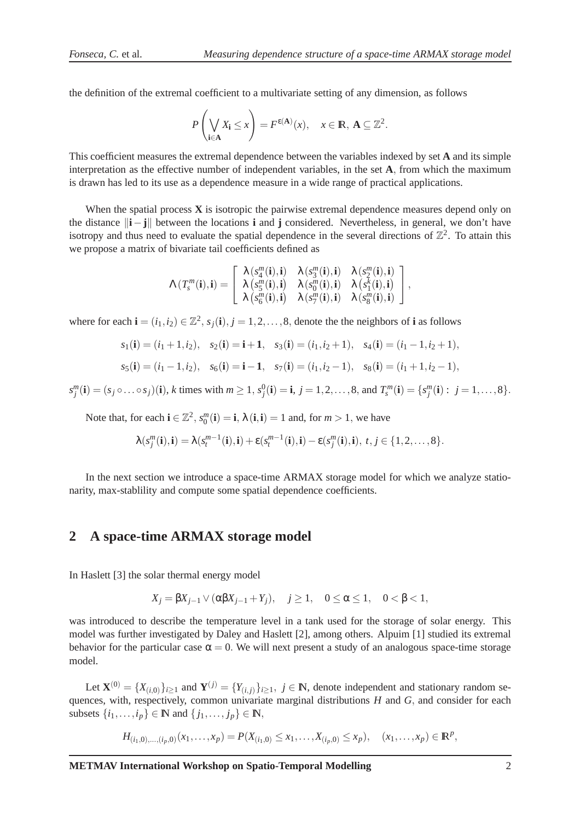the definition of the extremal coefficient to a multivariate setting of any dimension, as follows

$$
P\left(\bigvee_{\mathbf{i}\in\mathbf{A}}X_{\mathbf{i}}\leq x\right)=F^{\epsilon(\mathbf{A})}(x),\quad x\in\mathbb{R},\ \mathbf{A}\subseteq\mathbb{Z}^{2}.
$$

This coefficient measures the extremal dependence between the variables indexed by set **A** and its simple interpretation as the effective number of independent variables, in the set **A**, from which the maximum is drawn has led to its use as a dependence measure in a wide range of practical applications.

When the spatial process **X** is isotropic the pairwise extremal dependence measures depend only on the distance  $\|\mathbf{i} - \mathbf{j}\|$  between the locations **i** and **j** considered. Nevertheless, in general, we don't have isotropy and thus need to evaluate the spatial dependence in the several directions of  $\mathbb{Z}^2$ . To attain this we propose a matrix of bivariate tail coefficients defined as

$$
\Lambda\left(T^m_s(\mathbf{i}),\mathbf{i}\right)=\left[\begin{array}{ccc} \lambda\left(s_4^m(\mathbf{i}),\mathbf{i}\right) & \lambda\left(s_3^m(\mathbf{i}),\mathbf{i}\right) & \lambda\left(s_2^m(\mathbf{i}),\mathbf{i}\right) \\ \lambda\left(s_5^m(\mathbf{i}),\mathbf{i}\right) & \lambda\left(s_0^m(\mathbf{i}),\mathbf{i}\right) & \lambda\left(s_1^k(\mathbf{i}),\mathbf{i}\right) \\ \lambda\left(s_6^m(\mathbf{i}),\mathbf{i}\right) & \lambda\left(s_7^m(\mathbf{i}),\mathbf{i}\right) & \lambda\left(s_8^m(\mathbf{i}),\mathbf{i}\right) \end{array}\right],
$$

where for each  $\mathbf{i} = (i_1, i_2) \in \mathbb{Z}^2$ ,  $s_j(\mathbf{i}), j = 1, 2, \ldots, 8$ , denote the the neighbors of **i** as follows

$$
s_1(\mathbf{i}) = (i_1 + 1, i_2), \quad s_2(\mathbf{i}) = \mathbf{i} + \mathbf{1}, \quad s_3(\mathbf{i}) = (i_1, i_2 + 1), \quad s_4(\mathbf{i}) = (i_1 - 1, i_2 + 1),
$$

$$
s_5(\mathbf{i}) = (i_1 - 1, i_2), \quad s_6(\mathbf{i}) = \mathbf{i} - \mathbf{1}, \quad s_7(\mathbf{i}) = (i_1, i_2 - 1), \quad s_8(\mathbf{i}) = (i_1 + 1, i_2 - 1),
$$

 $s_j^m(i) = (s_j \circ \dots \circ s_j)(i)$ , k times with  $m \ge 1$ ,  $s_j^0(i) = i$ ,  $j = 1, 2, ..., 8$ , and  $T_s^m(i) = \{s_j^m(i) : j = 1, ..., 8\}$ .

Note that, for each  $\mathbf{i} \in \mathbb{Z}^2$ ,  $s_0^m(\mathbf{i}) = \mathbf{i}$ ,  $\lambda(\mathbf{i}, \mathbf{i}) = 1$  and, for  $m > 1$ , we have

$$
\lambda(s_j^m(\mathbf{i}), \mathbf{i}) = \lambda(s_t^{m-1}(\mathbf{i}), \mathbf{i}) + \varepsilon(s_t^{m-1}(\mathbf{i}), \mathbf{i}) - \varepsilon(s_j^m(\mathbf{i}), \mathbf{i}), \ t, j \in \{1, 2, \ldots, 8\}.
$$

In the next section we introduce a space-time ARMAX storage model for which we analyze stationarity, max-stablility and compute some spatial dependence coefficients.

## **2 A space-time ARMAX storage model**

In Haslett [3] the solar thermal energy model

$$
X_j = \beta X_{j-1} \vee (\alpha \beta X_{j-1} + Y_j), \quad j \ge 1, \quad 0 \le \alpha \le 1, \quad 0 < \beta < 1,
$$

was introduced to describe the temperature level in a tank used for the storage of solar energy. This model was further investigated by Daley and Haslett [2], among others. Alpuim [1] studied its extremal behavior for the particular case  $\alpha = 0$ . We will next present a study of an analogous space-time storage model.

Let  $\mathbf{X}^{(0)} = \{X_{(i,0)}\}_{i \geq 1}$  and  $\mathbf{Y}^{(j)} = \{Y_{(i,j)}\}_{i \geq 1}$ ,  $j \in \mathbb{N}$ , denote independent and stationary random sequences, with, respectively, common univariate marginal distributions *H* and *G*, and consider for each subsets  $\{i_1, \ldots, i_p\} \in \mathbb{N}$  and  $\{j_1, \ldots, j_p\} \in \mathbb{N}$ ,

 $H_{(i_1,0),...,(i_p,0)}(x_1,...,x_p) = P(X_{(i_1,0)} \leq x_1,...,X_{(i_p,0)} \leq x_p), \quad (x_1,...,x_p) \in \mathbb{R}^p,$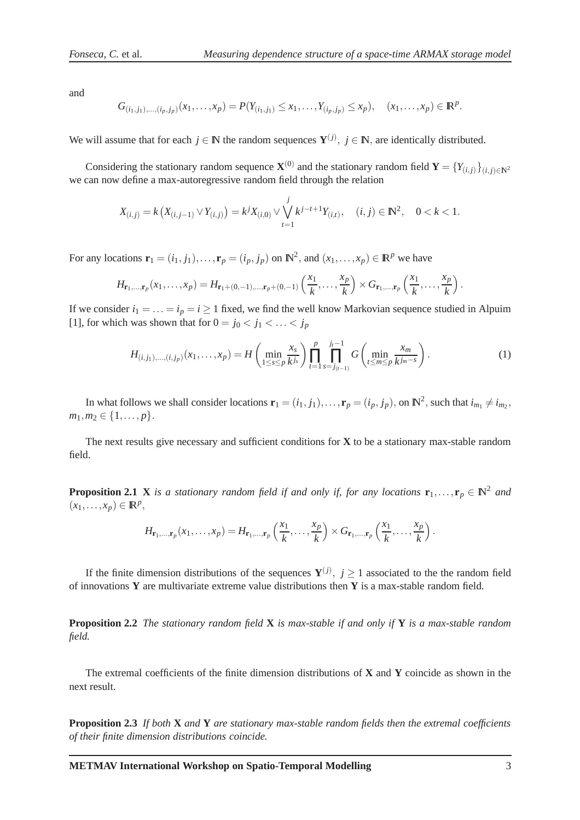.

and

$$
G_{(i_1,j_1),...,(i_p,j_p)}(x_1,...,x_p) = P(Y_{(i_1,j_1)} \leq x_1,...,Y_{(i_p,j_p)} \leq x_p), \quad (x_1,...,x_p) \in \mathbb{R}^p
$$

We will assume that for each  $j \in \mathbb{N}$  the random sequences  $Y^{(j)}$ ,  $j \in \mathbb{N}$ , are identically distributed.

Considering the stationary random sequence  $\mathbf{X}^{(0)}$  and the stationary random field  $\mathbf{Y} = \{Y_{(i,j)}\}_{(i,j)\in\mathbb{N}^2}$ we can now define a max-autoregressive random field through the relation

$$
X_{(i,j)} = k\left(X_{(i,j-1)} \vee Y_{(i,j)}\right) = k^j X_{(i,0)} \vee \bigvee_{t=1}^j k^{j-t+1} Y_{(i,t)}, \quad (i,j) \in \mathbb{N}^2, \quad 0 < k < 1.
$$

For any locations  $\mathbf{r}_1 = (i_1, j_1), \dots, \mathbf{r}_p = (i_p, j_p)$  on  $\mathbb{N}^2$ , and  $(x_1, \dots, x_p) \in \mathbb{R}^p$  we have

$$
H_{\mathbf{r}_1,\ldots,\mathbf{r}_p}(x_1,\ldots,x_p) = H_{\mathbf{r}_1 + (0,-1),\ldots,\mathbf{r}_p + (0,-1)}\left(\frac{x_1}{k},\ldots,\frac{x_p}{k}\right) \times G_{\mathbf{r}_1,\ldots,\mathbf{r}_p}\left(\frac{x_1}{k},\ldots,\frac{x_p}{k}\right).
$$

If we consider  $i_1 = \ldots = i_p = i \ge 1$  fixed, we find the well know Markovian sequence studied in Alpuim [1], for which was shown that for  $0 = j_0 < j_1 < \ldots < j_p$ 

$$
H_{(i,j_1),\ldots,(i,j_p)}(x_1,\ldots,x_p) = H\left(\min_{1 \leq s \leq p} \frac{x_s}{k^{j_s}}\right) \prod_{t=1}^p \prod_{s=j_{(t-1)}}^{j_t-1} G\left(\min_{t \leq m \leq p} \frac{x_m}{k^{j_m-s}}\right).
$$
\n(1)

In what follows we shall consider locations  $\mathbf{r}_1 = (i_1, j_1), \dots, \mathbf{r}_p = (i_p, j_p)$ , on  $\mathbb{N}^2$ , such that  $i_{m_1} \neq i_{m_2}$ ,  $m_1, m_2 \in \{1, \ldots, p\}.$ 

The next results give necessary and sufficient conditions for **X** to be a stationary max-stable random field.

**Proposition 2.1 X** *is a stationary random field if and only if, for any locations*  $\mathbf{r}_1, \ldots, \mathbf{r}_p \in \mathbb{N}^2$  and  $(x_1,\ldots,x_p) \in \mathbb{R}^p$ ,

$$
H_{\mathbf{r}_1,\ldots,\mathbf{r}_p}(x_1,\ldots,x_p) = H_{\mathbf{r}_1,\ldots,\mathbf{r}_p}\left(\frac{x_1}{k},\ldots,\frac{x_p}{k}\right) \times G_{\mathbf{r}_1,\ldots,\mathbf{r}_p}\left(\frac{x_1}{k},\ldots,\frac{x_p}{k}\right).
$$

If the finite dimension distributions of the sequences  $Y^{(j)}$ ,  $j \ge 1$  associated to the the random field of innovations **Y** are multivariate extreme value distributions then **Y** is a max-stable random field.

**Proposition 2.2** *The stationary random field* **X** *is max-stable if and only if* **Y** *is a max-stable random field.*

The extremal coefficients of the finite dimension distributions of **X** and **Y** coincide as shown in the next result.

**Proposition 2.3** *If both* **X** *and* **Y** *are stationary max-stable random fields then the extremal coefficients of their finite dimension distributions coincide.*